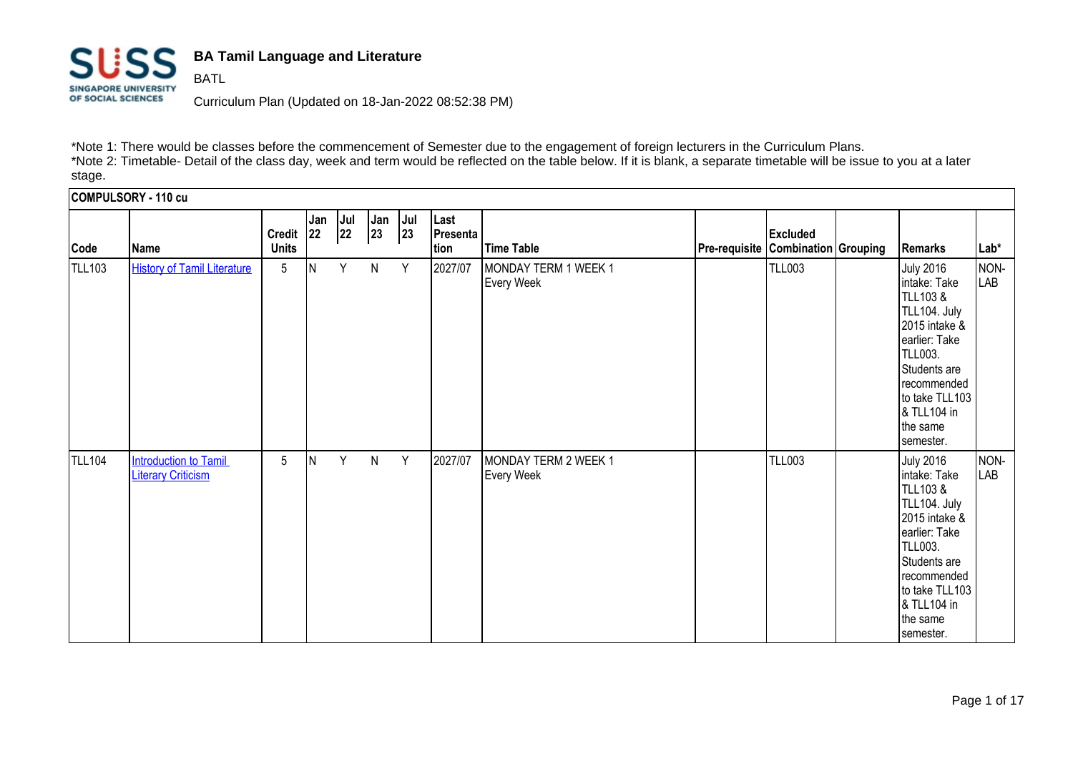

**BATL** 

## **BA Tamil Language and Literature**

Curriculum Plan (Updated on 18-Jan-2022 08:52:38 PM)

\*Note 1: There would be classes before the commencement of Semester due to the engagement of foreign lecturers in the Curriculum Plans. \*Note 2: Timetable- Detail of the class day, week and term would be reflected on the table below. If it is blank, a separate timetable will be issue to you at a later stage.

**COMPULSORY - 110 cu Code Name Credit Units Jan 22 Jul 22 Jan 23 Jul 23 Last Presenta tion Time Table Pre-requisite Combination Grouping Remarks Lab\* Excluded**  TLL103 [History of Tamil Literature](https://sims1.suss.edu.sg/ESERVICE/Public/ViewCourse/ViewCourse.aspx?crsecd=TLL103&viewtype=pdf&isft=0) 5 N Y N Y 2027/07 MONDAY TERM 1 WEEK 1 Every Week TLL003 July 2016 intake: Take TLL103 & TLL104. July 2015 intake & earlier: Take TLL003. Students are recommended to take TLL103 & TLL104 in the same semester. NON-LAB TLL104 **Introduction to Tamil [Literary Criticism](https://sims1.suss.edu.sg/ESERVICE/Public/ViewCourse/ViewCourse.aspx?crsecd=TLL104&viewtype=pdf&isft=0)** 5 **N** Y N Y 2027/07 MONDAY TERM 2 WEEK 1 Every Week TLL003 July 2016 intake: Take TLL103 & TLL104. July 2015 intake & earlier: Take TLL003. Students are recommended to take TLL103 & TLL104 in the same semester. NONli AR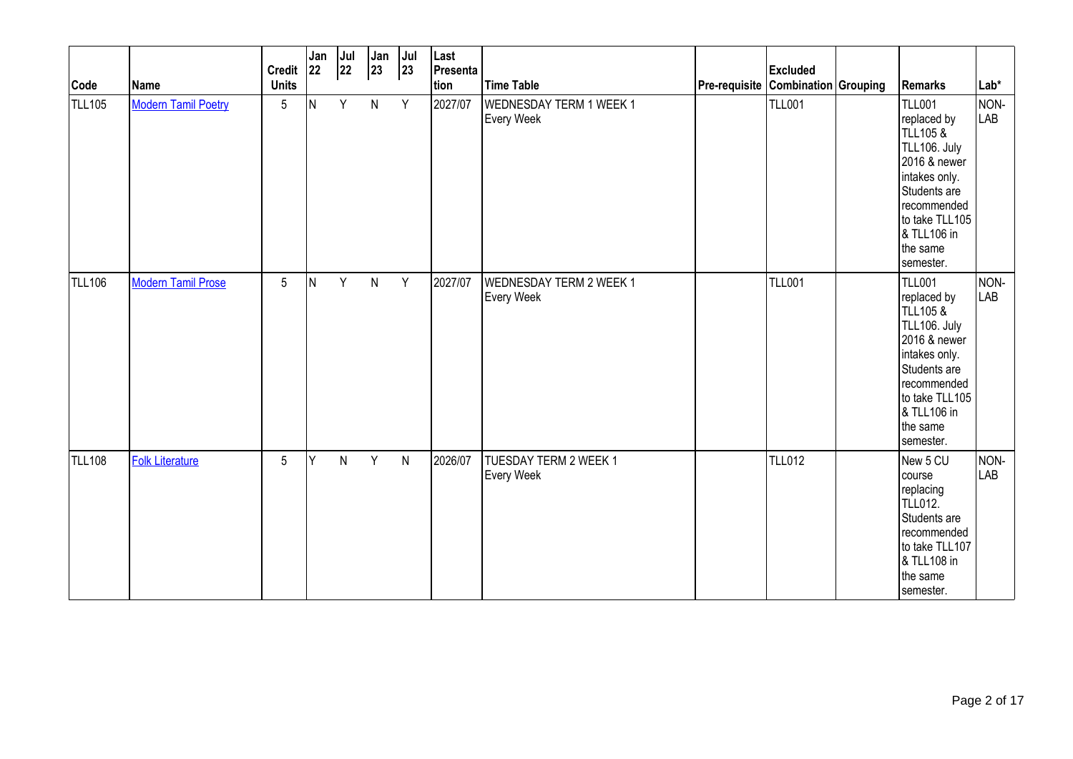| Code          | Name                       | <b>Credit</b><br><b>Units</b> | Jan<br> 22 | Jul<br>22 | Jan<br>23    | Jul<br> 23 | Last<br>Presenta<br>tion | <b>Time Table</b>                                   | Pre-requisite Combination Grouping | <b>Excluded</b> | <b>Remarks</b>                                                                                                                                                                                | $Lab*$             |
|---------------|----------------------------|-------------------------------|------------|-----------|--------------|------------|--------------------------|-----------------------------------------------------|------------------------------------|-----------------|-----------------------------------------------------------------------------------------------------------------------------------------------------------------------------------------------|--------------------|
| TLL105        | <b>Modern Tamil Poetry</b> | $\overline{5}$                | IN.        | Y         | $\mathsf{N}$ | Y          | 2027/07                  | WEDNESDAY TERM 1 WEEK 1<br>Every Week               |                                    | <b>TLL001</b>   | <b>TLL001</b><br>replaced by<br><b>TLL105 &amp;</b><br>TLL106. July<br>2016 & newer<br>intakes only.<br>Students are<br>recommended<br>to take TLL105<br>& TLL106 in<br>the same<br>semester. | NON-<br><b>LAB</b> |
| <b>TLL106</b> | <b>Modern Tamil Prose</b>  | 5                             | IN.        | Y         | $\mathsf{N}$ | Y          | 2027/07                  | <b>WEDNESDAY TERM 2 WEEK 1</b><br><b>Every Week</b> |                                    | <b>TLL001</b>   | <b>TLL001</b><br>replaced by<br><b>TLL105 &amp;</b><br>TLL106. July<br>2016 & newer<br>intakes only.<br>Students are<br>recommended<br>to take TLL105<br>& TLL106 in<br>the same<br>semester. | NON-<br>LAB        |
| <b>TLL108</b> | Folk Literature            | 5                             | Y          | N         | Y            | ${\sf N}$  | 2026/07                  | TUESDAY TERM 2 WEEK 1<br><b>Every Week</b>          |                                    | <b>TLL012</b>   | New 5 CU<br>course<br>replacing<br><b>TLL012.</b><br>Students are<br>recommended<br>to take TLL107<br>& TLL108 in<br>the same<br>semester.                                                    | NON-<br>LAB        |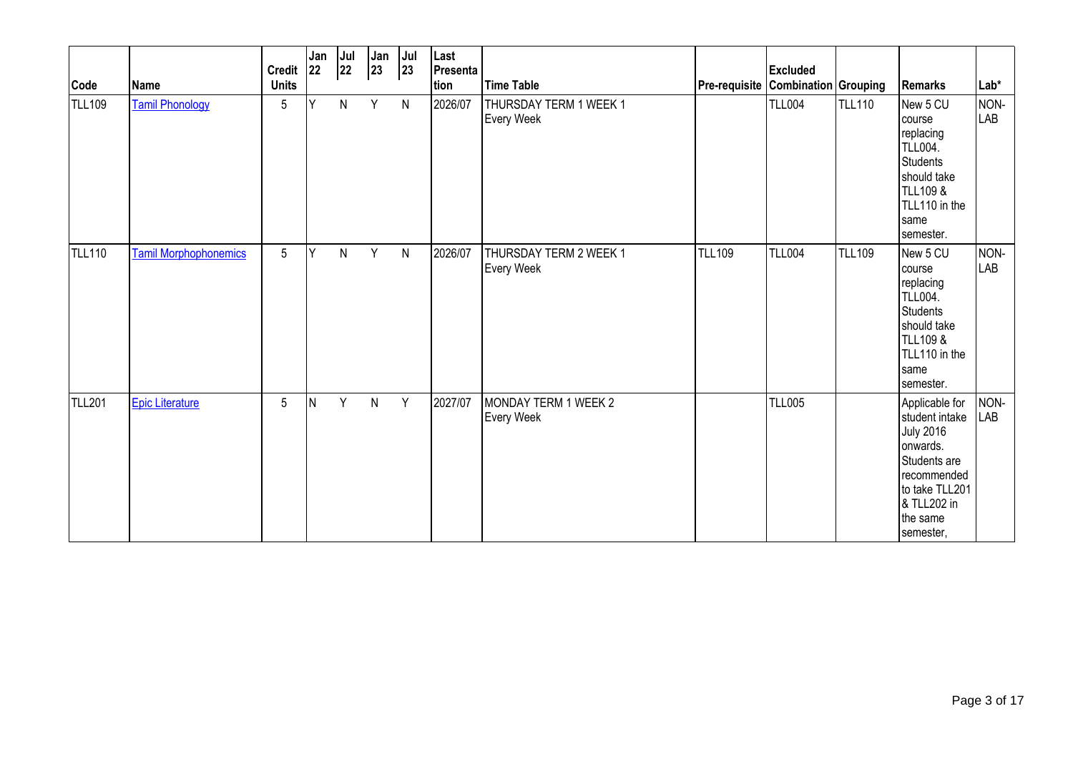| Code          | Name                         | <b>Credit</b><br><b>Units</b> | Jan<br>22 | Jul<br>22    | Jan<br>$ 23\rangle$ | Jul<br> 23   | Last<br>Presenta<br>tion | <b>Time Table</b>                    | Pre-requisite Combination Grouping | <b>Excluded</b> |               | <b>Remarks</b>                                                                                                                                            | Lab*        |
|---------------|------------------------------|-------------------------------|-----------|--------------|---------------------|--------------|--------------------------|--------------------------------------|------------------------------------|-----------------|---------------|-----------------------------------------------------------------------------------------------------------------------------------------------------------|-------------|
| TLL109        | <b>Tamil Phonology</b>       | 5                             | Ý         | ${\sf N}$    | Y                   | $\mathsf{N}$ | 2026/07                  | THURSDAY TERM 1 WEEK 1<br>Every Week |                                    | <b>TLL004</b>   | <b>TLL110</b> | New 5 CU<br>course<br>replacing<br><b>TLL004.</b><br>Students<br>should take<br>TLL109 &<br>TLL110 in the<br>same<br>semester.                            | NON-<br>LAB |
| <b>TLL110</b> | <b>Tamil Morphophonemics</b> | 5                             | Y         | $\mathsf{N}$ | Y                   | $\mathsf{N}$ | 2026/07                  | THURSDAY TERM 2 WEEK 1<br>Every Week | <b>TLL109</b>                      | <b>TLL004</b>   | <b>TLL109</b> | New 5 CU<br>lcourse<br>replacing<br><b>TLL004.</b><br>Students<br>should take<br>TLL109 &<br>TLL110 in the<br>same<br>semester.                           | NON-<br>LAB |
| <b>TLL201</b> | <b>Epic Literature</b>       | 5                             | İΝ        | Y            | N                   | Y            | 2027/07                  | MONDAY TERM 1 WEEK 2<br>Every Week   |                                    | <b>TLL005</b>   |               | Applicable for<br>student intake<br><b>July 2016</b><br>onwards.<br>Students are<br>recommended<br>to take TLL201<br>& TLL202 in<br>the same<br>semester, | NON-<br>LAB |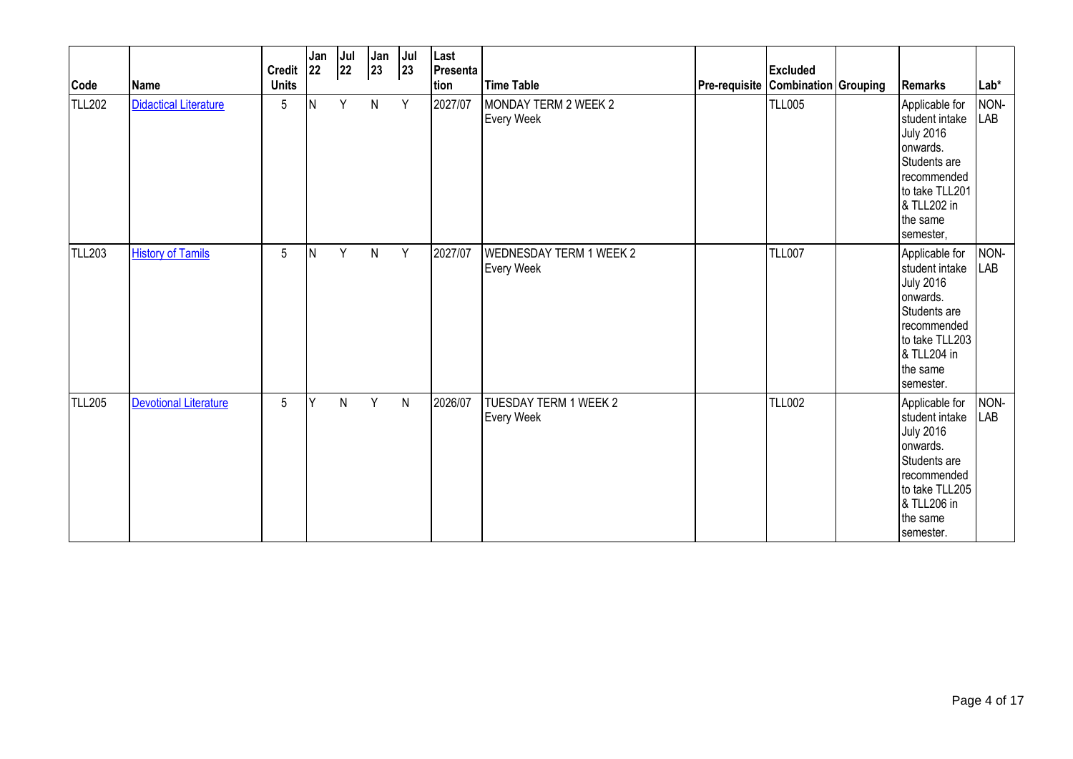| Code          | Name                         | <b>Credit</b><br><b>Units</b> | Jan<br><b>22</b> | Jul<br>22 | Jan<br>23    | Jul<br> 23 | Last<br>Presenta<br>tion | <b>Time Table</b>                                   | Pre-requisite Combination Grouping | <b>Excluded</b> | Remarks                                                                                                                                                   | $Lab*$             |
|---------------|------------------------------|-------------------------------|------------------|-----------|--------------|------------|--------------------------|-----------------------------------------------------|------------------------------------|-----------------|-----------------------------------------------------------------------------------------------------------------------------------------------------------|--------------------|
| <b>TLL202</b> | <b>Didactical Literature</b> | 5                             | lΝ               | Y         | $\mathsf{N}$ | Y          | 2027/07                  | MONDAY TERM 2 WEEK 2<br><b>Every Week</b>           |                                    | <b>TLL005</b>   | Applicable for<br>student intake<br><b>July 2016</b><br>onwards.<br>Students are<br>recommended<br>to take TLL201<br>& TLL202 in<br>the same<br>semester, | NON-<br><b>LAB</b> |
| <b>TLL203</b> | <b>History of Tamils</b>     | 5                             | İΝ               | Y         | $\mathsf{N}$ | Y          | 2027/07                  | <b>WEDNESDAY TERM 1 WEEK 2</b><br><b>Every Week</b> |                                    | <b>TLL007</b>   | Applicable for<br>student intake<br><b>July 2016</b><br>onwards.<br>Students are<br>recommended<br>to take TLL203<br>& TLL204 in<br>the same<br>semester. | NON-<br><b>LAB</b> |
| <b>TLL205</b> | <b>Devotional Literature</b> | 5                             | Y                | N         | Y            | ${\sf N}$  | 2026/07                  | <b>TUESDAY TERM 1 WEEK 2</b><br>Every Week          |                                    | <b>TLL002</b>   | Applicable for<br>student intake<br><b>July 2016</b><br>onwards.<br>Students are<br>recommended<br>to take TLL205<br>& TLL206 in<br>the same<br>semester. | NON-<br>LAB        |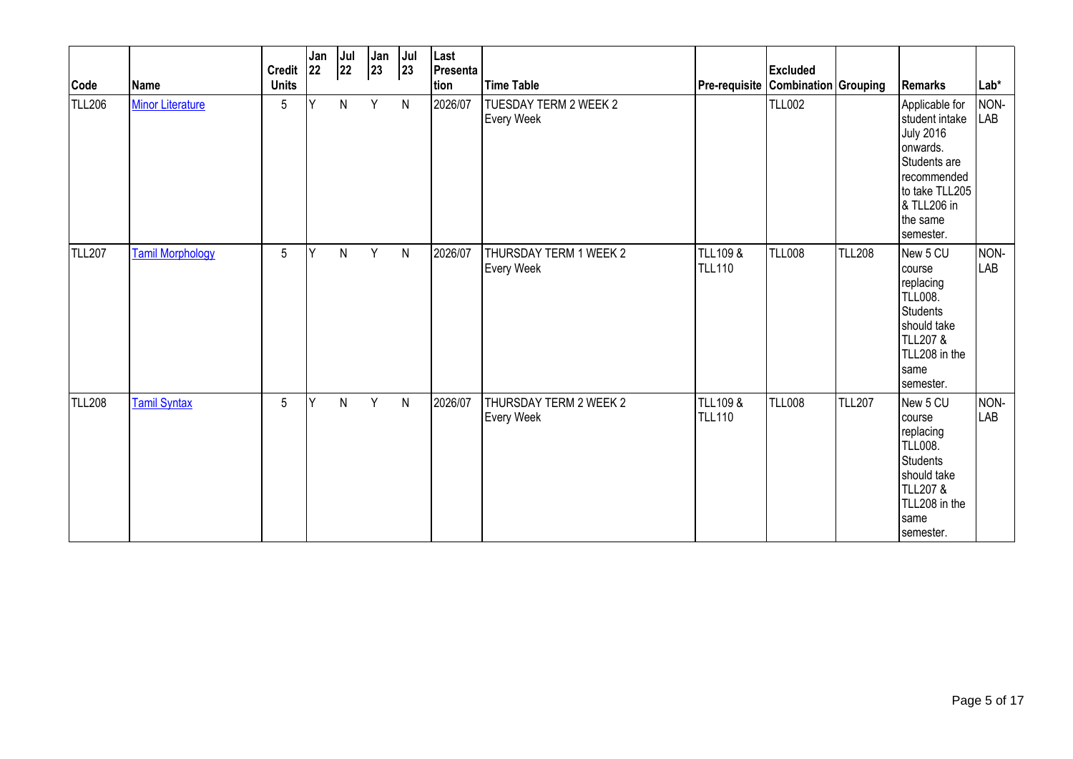| Code          | Name                    | <b>Credit</b><br><b>Units</b> | Jan<br>22 | Jul<br>22 | Jan<br>$ 23\rangle$ | Jul<br>23    | Last<br>Presenta<br>tion | <b>Time Table</b>                           | <b>Pre-requisite Combination Grouping</b> | <b>Excluded</b> |               | Remarks                                                                                                                                                   | $Lab*$             |
|---------------|-------------------------|-------------------------------|-----------|-----------|---------------------|--------------|--------------------------|---------------------------------------------|-------------------------------------------|-----------------|---------------|-----------------------------------------------------------------------------------------------------------------------------------------------------------|--------------------|
| <b>TLL206</b> | <b>Minor Literature</b> | $\sqrt{5}$                    | Ý         | N         | Y                   | $\mathsf{N}$ | 2026/07                  | TUESDAY TERM 2 WEEK 2<br><b>Every Week</b>  |                                           | <b>TLL002</b>   |               | Applicable for<br>student intake<br><b>July 2016</b><br>onwards.<br>Students are<br>recommended<br>to take TLL205<br>& TLL206 in<br>the same<br>semester. | NON-<br><b>LAB</b> |
| <b>TLL207</b> | <b>Tamil Morphology</b> | 5                             | Y         | N         | Y                   | N            | 2026/07                  | THURSDAY TERM 1 WEEK 2<br><b>Every Week</b> | <b>TLL109 &amp;</b><br><b>TLL110</b>      | <b>TLL008</b>   | <b>TLL208</b> | New 5 CU<br>Icourse<br>replacing<br><b>TLL008.</b><br>Students<br>should take<br>TLL207 &<br>TLL208 in the<br>same<br>semester.                           | NON-<br><b>LAB</b> |
| <b>TLL208</b> | <b>Tamil Syntax</b>     | 5                             | Y         | N         | Y                   | $\mathsf{N}$ | 2026/07                  | THURSDAY TERM 2 WEEK 2<br><b>Every Week</b> | <b>TLL109 &amp;</b><br><b>TLL110</b>      | <b>TLL008</b>   | <b>TLL207</b> | New 5 CU<br>course<br>replacing<br>TLL008.<br>Students<br>should take<br><b>TLL207 &amp;</b><br>TLL208 in the<br>same<br>semester.                        | NON-<br><b>LAB</b> |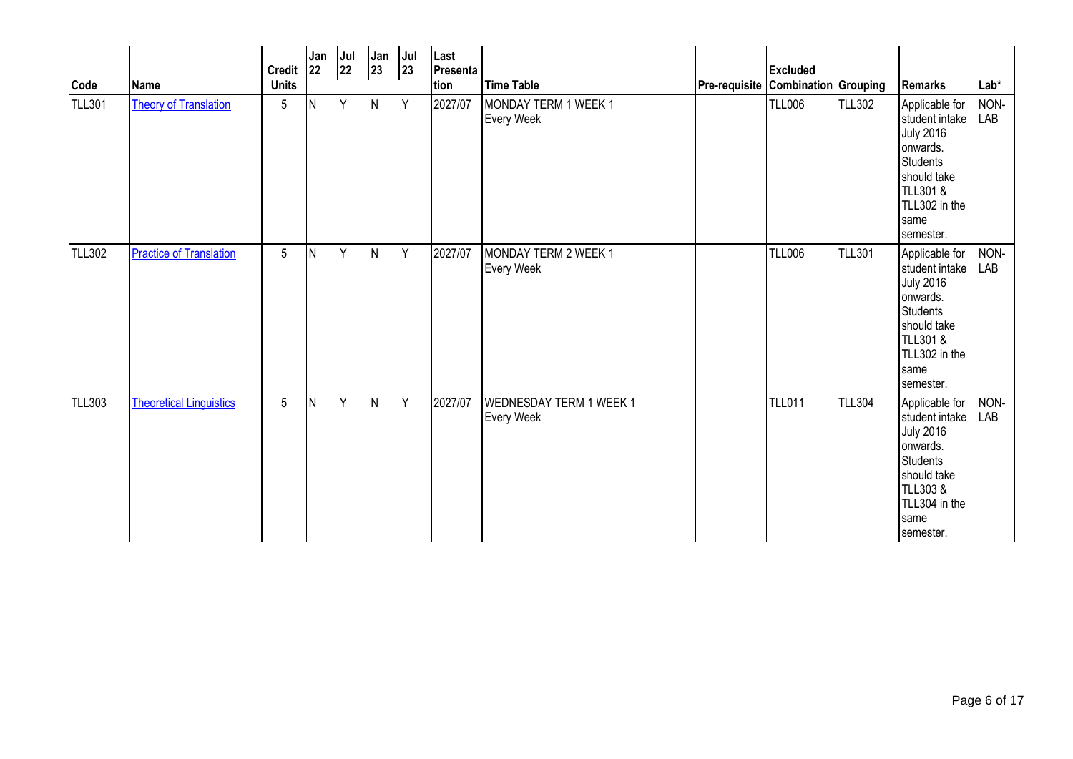| Code          | Name                           | <b>Credit</b><br><b>Units</b> | Jan<br> 22 | Jul<br>22 | Jan<br>$ 23\rangle$ | Jul<br>23 | Last<br>Presenta<br>tion | <b>Time Table</b>                                   | <b>Pre-requisite Combination Grouping</b> | <b>Excluded</b> |               | Remarks                                                                                                                                             | Lab*               |
|---------------|--------------------------------|-------------------------------|------------|-----------|---------------------|-----------|--------------------------|-----------------------------------------------------|-------------------------------------------|-----------------|---------------|-----------------------------------------------------------------------------------------------------------------------------------------------------|--------------------|
| TLL301        | <b>Theory of Translation</b>   | $5\phantom{.0}$               | IN.        | Y         | ${\sf N}$           | Y         | 2027/07                  | MONDAY TERM 1 WEEK 1<br><b>Every Week</b>           |                                           | <b>TLL006</b>   | <b>TLL302</b> | Applicable for<br>student intake<br><b>July 2016</b><br>onwards.<br>Students<br>should take<br>TLL301 &<br>TLL302 in the<br>Isame<br>semester.      | NON-<br><b>LAB</b> |
| <b>TLL302</b> | <b>Practice of Translation</b> | $5\phantom{.0}$               | IN.        | Y         | N                   | Y         | 2027/07                  | MONDAY TERM 2 WEEK 1<br><b>Every Week</b>           |                                           | <b>TLL006</b>   | <b>TLL301</b> | Applicable for<br>student intake<br><b>July 2016</b><br>onwards.<br>Students<br>should take<br>TLL301&<br>TLL302 in the<br>same<br>semester.        | NON-<br><b>LAB</b> |
| <b>TLL303</b> | <b>Theoretical Linguistics</b> | $5\phantom{.0}$               | IN.        | Y         | N                   | Y         | 2027/07                  | <b>WEDNESDAY TERM 1 WEEK 1</b><br><b>Every Week</b> |                                           | <b>TLL011</b>   | <b>TLL304</b> | Applicable for<br>student intake<br><b>July 2016</b><br>onwards.<br><b>Students</b><br>should take<br>TLL303&<br>TLL304 in the<br>same<br>semester. | NON-<br>LAB        |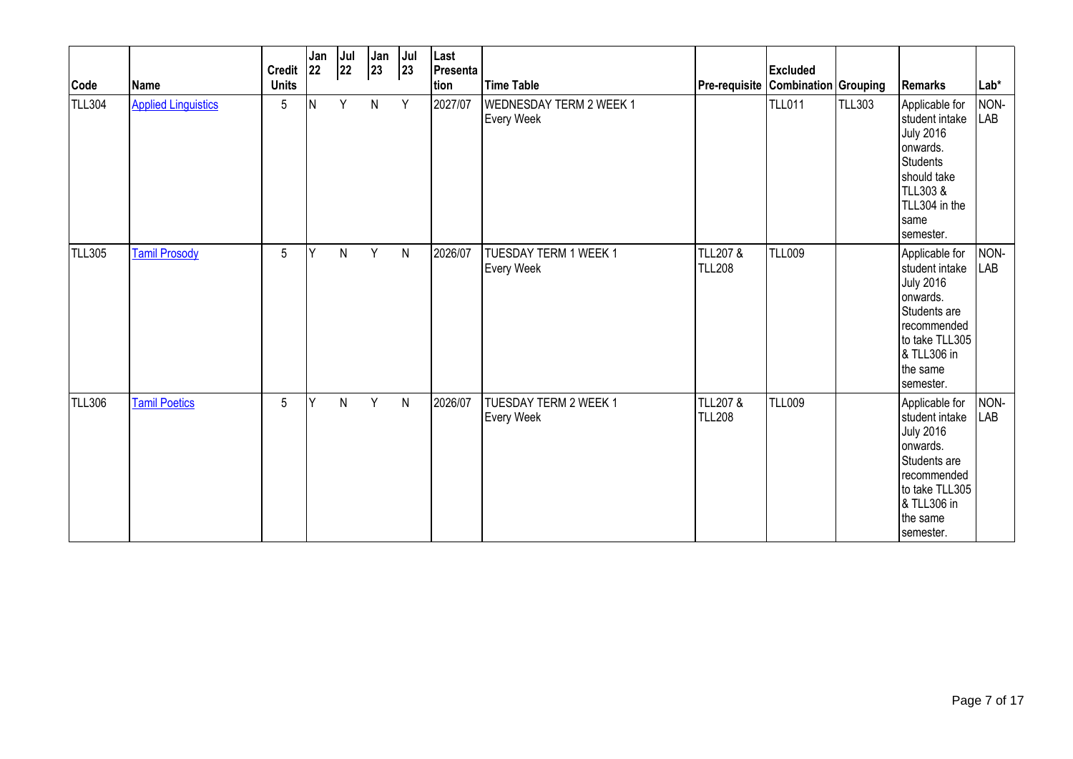| Code          | Name                       | <b>Credit</b><br><b>Units</b> | Jan<br><b>22</b> | Jul<br>22 | Jan<br>23    | Jul<br> 23   | Last<br>Presenta<br>tion | <b>Time Table</b>                                   | Pre-requisite Combination Grouping   | <b>Excluded</b> |               | Remarks                                                                                                                                                   | $Lab*$             |
|---------------|----------------------------|-------------------------------|------------------|-----------|--------------|--------------|--------------------------|-----------------------------------------------------|--------------------------------------|-----------------|---------------|-----------------------------------------------------------------------------------------------------------------------------------------------------------|--------------------|
| TLL304        | <b>Applied Linguistics</b> | 5                             | lΝ               | Y         | $\mathsf{N}$ | Y            | 2027/07                  | <b>WEDNESDAY TERM 2 WEEK 1</b><br><b>Every Week</b> |                                      | <b>TLL011</b>   | <b>TLL303</b> | Applicable for<br>student intake<br><b>July 2016</b><br>onwards.<br><b>Students</b><br>should take<br>TLL303&<br>TLL304 in the<br>Isame<br>semester.      | NON-<br><b>LAB</b> |
| <b>TLL305</b> | <b>Tamil Prosody</b>       | 5                             | Y                | N         | Y            | $\mathsf{N}$ | 2026/07                  | TUESDAY TERM 1 WEEK 1<br><b>Every Week</b>          | <b>TLL207 &amp;</b><br><b>TLL208</b> | <b>TLL009</b>   |               | Applicable for<br>student intake<br><b>July 2016</b><br>onwards.<br>Students are<br>recommended<br>to take TLL305<br>& TLL306 in<br>the same<br>semester. | NON-<br><b>LAB</b> |
| <b>TLL306</b> | <b>Tamil Poetics</b>       | 5                             | Y                | N         | Y            | ${\sf N}$    | 2026/07                  | TUESDAY TERM 2 WEEK 1<br>Every Week                 | <b>TLL207 &amp;</b><br><b>TLL208</b> | <b>TLL009</b>   |               | Applicable for<br>student intake<br><b>July 2016</b><br>onwards.<br>Students are<br>recommended<br>to take TLL305<br>& TLL306 in<br>the same<br>semester. | NON-<br>LAB        |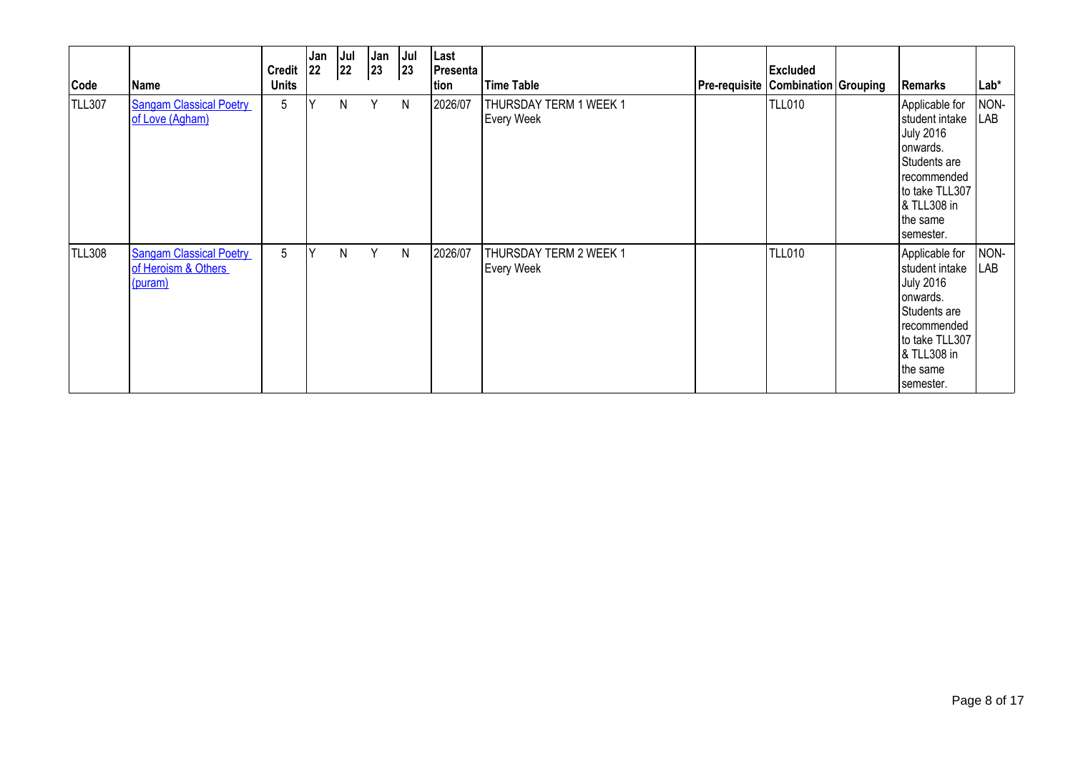| Code          | <b>Name</b>                                                      | <b>Credit</b><br><b>Units</b> | Jan<br> 22 | Jul<br>22 | Jan<br>23 | Jul<br>23 | Last<br><b>Presenta</b>  <br>tion | <b>Time Table</b>                           | Pre-requisite   Combination   Grouping | <b>Excluded</b> | <b>Remarks</b>                                                                                                                                            | $Lab*$      |
|---------------|------------------------------------------------------------------|-------------------------------|------------|-----------|-----------|-----------|-----------------------------------|---------------------------------------------|----------------------------------------|-----------------|-----------------------------------------------------------------------------------------------------------------------------------------------------------|-------------|
| TLL307        | <b>Sangam Classical Poetry</b><br>of Love (Agham)                | 5                             | Υ          | N         | Y         | N         | 2026/07                           | THURSDAY TERM 1 WEEK 1<br><b>Every Week</b> |                                        | <b>TLL010</b>   | Applicable for<br>student intake<br><b>July 2016</b><br>onwards.<br>Students are<br>recommended<br>to take TLL307<br>& TLL308 in<br>the same<br>semester. | NON-<br>LAB |
| <b>TLL308</b> | <b>Sangam Classical Poetry</b><br>of Heroism & Others<br>(puram) | 5                             | Υ          | N         | Y         | N         | 2026/07                           | THURSDAY TERM 2 WEEK 1<br><b>Every Week</b> |                                        | <b>TLL010</b>   | Applicable for<br>student intake<br><b>July 2016</b><br>onwards.<br>Students are<br>recommended<br>to take TLL307<br>& TLL308 in<br>the same<br>semester. | NON-<br>LAB |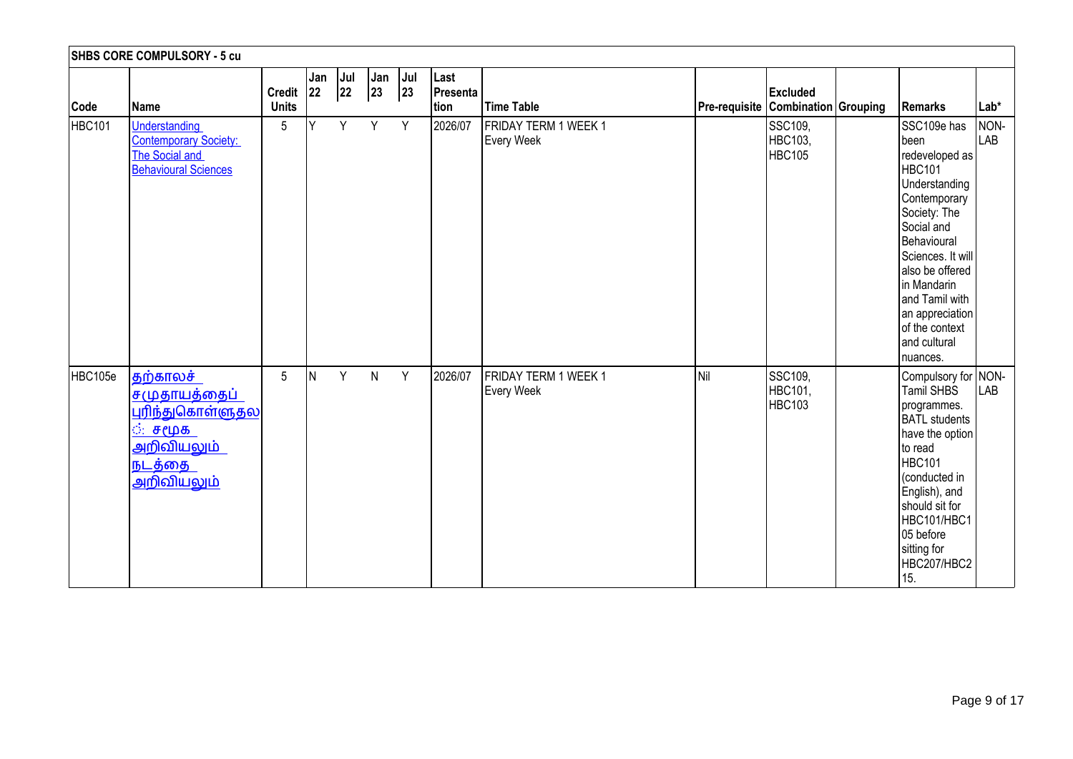|         | <b>SHBS CORE COMPULSORY - 5 cu</b>                                                                                                |                               |           |           |                     |           |                                  |                                           |                                    |                                     |                                                                                                                                                                                                                                                                         |                      |
|---------|-----------------------------------------------------------------------------------------------------------------------------------|-------------------------------|-----------|-----------|---------------------|-----------|----------------------------------|-------------------------------------------|------------------------------------|-------------------------------------|-------------------------------------------------------------------------------------------------------------------------------------------------------------------------------------------------------------------------------------------------------------------------|----------------------|
| Code    | Name                                                                                                                              | <b>Credit</b><br><b>Units</b> | Jan<br>22 | Jul<br>22 | Jan<br>$ 23\rangle$ | Jul<br>23 | Last<br>Presenta<br><b>Ition</b> | Time Table                                | Pre-requisite Combination Grouping | <b>Excluded</b>                     | Remarks                                                                                                                                                                                                                                                                 | Lab*                 |
| HBC101  | Understanding<br><b>Contemporary Society:</b><br>The Social and<br><b>Behavioural Sciences</b>                                    | 5                             | Y         | Y         | Y                   | Y         | 2026/07                          | FRIDAY TERM 1 WEEK 1<br><b>Every Week</b> |                                    | SSC109,<br>HBC103,<br><b>HBC105</b> | SSC109e has<br>been<br>redeveloped as<br>HBC101<br>Understanding<br>Contemporary<br>Society: The<br>Social and<br>Behavioural<br>Sciences. It will<br>also be offered<br>in Mandarin<br>and Tamil with<br>an appreciation<br>of the context<br>and cultural<br>nuances. | NON-<br><b>I</b> LAB |
| HBC105e | தற்காலச்<br>சமுதாயத்தைப்<br><u>புரிந்துகொள்ளுதல</u><br><u>்: சமூக </u><br><u>அறிவியலும்</u><br><u>நடத்தை</u><br><u>அறிவியலும்</u> | $5\phantom{.0}$               | İΝ        | Y         | $\mathsf{N}$        | Y         | 2026/07                          | FRIDAY TERM 1 WEEK 1<br>Every Week        | Nil                                | SSC109,<br>HBC101,<br><b>HBC103</b> | Compulsory for NON-<br>Tamil SHBS<br>programmes.<br><b>BATL</b> students<br>have the option<br>to read<br>HBC101<br>conducted in<br>English), and<br>should sit for<br>HBC101/HBC1<br>05 before<br>sitting for<br>HBC207/HBC2<br>15.                                    | <b>LAB</b>           |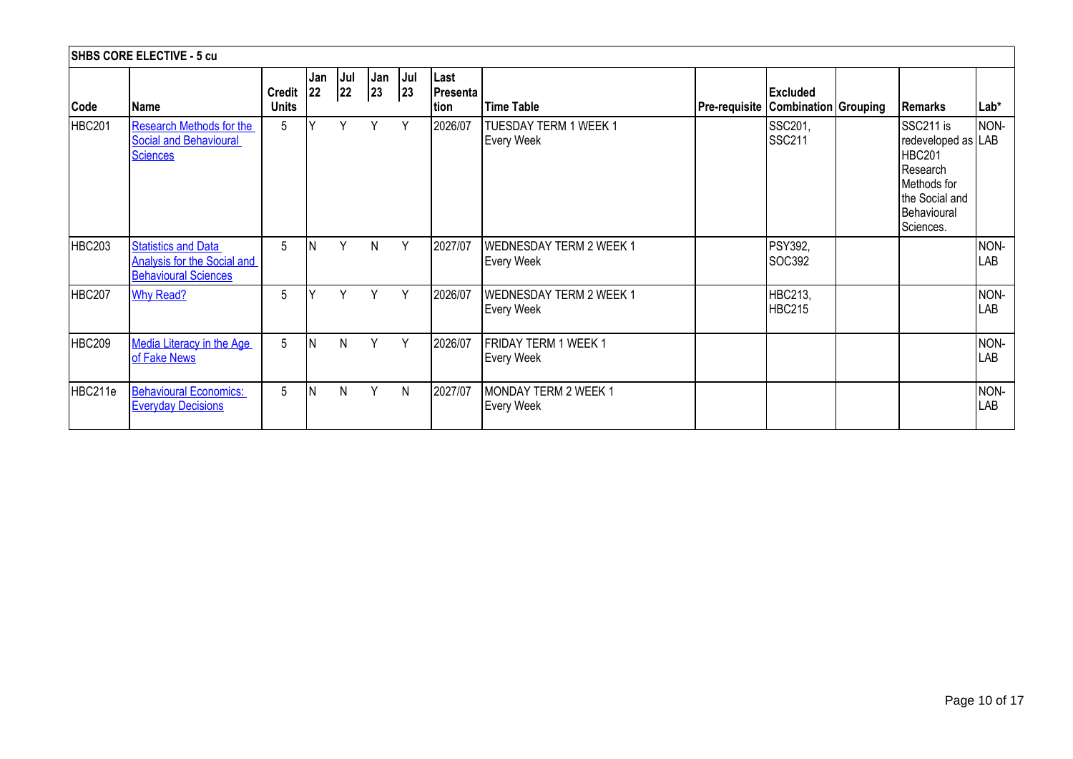|               | <b>SHBS CORE ELECTIVE - 5 cu</b>                                                                |                               |           |            |              |           |                                 |                                                     |                                        |                                 |                                                                                                                           |             |
|---------------|-------------------------------------------------------------------------------------------------|-------------------------------|-----------|------------|--------------|-----------|---------------------------------|-----------------------------------------------------|----------------------------------------|---------------------------------|---------------------------------------------------------------------------------------------------------------------------|-------------|
| Code          | Name                                                                                            | <b>Credit</b><br><b>Units</b> | Jan<br>22 | Jul<br> 22 | Jan<br>23    | Jul<br>23 | Last<br><b>Presenta</b><br>tion | <b>Time Table</b>                                   | Pre-requisite   Combination   Grouping | <b>Excluded</b>                 | Remarks                                                                                                                   | $Lab*$      |
| <b>HBC201</b> | <b>Research Methods for the</b><br><b>Social and Behavioural</b><br><b>Sciences</b>             | 5                             | v         | Υ          | Υ            | Y         | 2026/07                         | <b>TUESDAY TERM 1 WEEK 1</b><br><b>Every Week</b>   |                                        | SSC201,<br><b>SSC211</b>        | SSC211 is<br>redeveloped as LAB<br><b>HBC201</b><br>Research<br>Methods for<br>the Social and<br>Behavioural<br>Sciences. | NON-        |
| <b>HBC203</b> | <b>Statistics and Data</b><br><b>Analysis for the Social and</b><br><b>Behavioural Sciences</b> | 5                             | <b>N</b>  | Y          | $\mathsf{N}$ | Y         | 2027/07                         | <b>WEDNESDAY TERM 2 WEEK 1</b><br><b>Every Week</b> |                                        | <b>PSY392,</b><br>SOC392        |                                                                                                                           | NON-<br>LAB |
| <b>HBC207</b> | <b>Why Read?</b>                                                                                | 5                             |           | v          | Y            | Y         | 2026/07                         | <b>WEDNESDAY TERM 2 WEEK 1</b><br><b>Every Week</b> |                                        | <b>HBC213,</b><br><b>HBC215</b> |                                                                                                                           | NON-<br>LAB |
| <b>HBC209</b> | <b>Media Literacy in the Age</b><br>of Fake News                                                | 5                             | <b>N</b>  | N          | Υ            | Y         | 2026/07                         | FRIDAY TERM 1 WEEK 1<br><b>Every Week</b>           |                                        |                                 |                                                                                                                           | NON-<br>LAB |
| HBC211e       | <b>Behavioural Economics:</b><br><b>Everyday Decisions</b>                                      | 5                             | ΙN        | N          | Υ            | N         | 2027/07                         | MONDAY TERM 2 WEEK 1<br><b>Every Week</b>           |                                        |                                 |                                                                                                                           | NON-<br>LAB |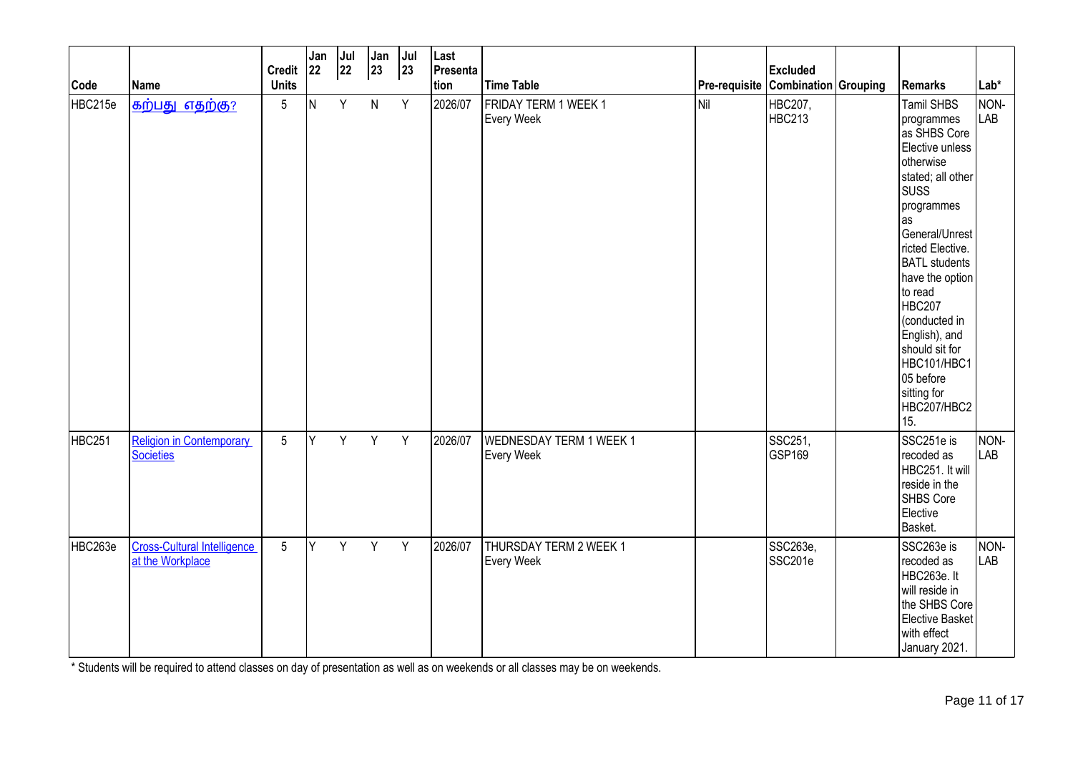| Code    | <b>Name</b>                                            | <b>Credit</b><br><b>Units</b> | Jan<br><b>22</b> | Jul<br>22 | Jan<br>$ 23\rangle$ | Jul<br>23 | Last<br>Presenta<br>tion | <b>Time Table</b>                                   |     | <b>Excluded</b><br>Pre-requisite Combination Grouping | Remarks                                                                                                                                                                                                                                                                                                                                                     | Lab*               |
|---------|--------------------------------------------------------|-------------------------------|------------------|-----------|---------------------|-----------|--------------------------|-----------------------------------------------------|-----|-------------------------------------------------------|-------------------------------------------------------------------------------------------------------------------------------------------------------------------------------------------------------------------------------------------------------------------------------------------------------------------------------------------------------------|--------------------|
| HBC215e | <b>கற்பது எதற்கு?</b>                                  | $5\phantom{.0}$               | N                | Y         | $\mathsf{N}$        | Y         | 2026/07                  | FRIDAY TERM 1 WEEK 1<br>Every Week                  | Nil | HBC207,<br><b>HBC213</b>                              | Tamil SHBS<br>programmes<br>as SHBS Core<br>Elective unless<br>otherwise<br>stated; all other<br><b>SUSS</b><br>programmes<br>as<br>General/Unrest<br>ricted Elective.<br><b>BATL</b> students<br>have the option<br>to read<br>HBC207<br>(conducted in<br>English), and<br>should sit for<br>HBC101/HBC1<br>05 before<br>sitting for<br>HBC207/HBC2<br>15. | NON-<br><b>LAB</b> |
| HBC251  | <b>Religion in Contemporary</b><br>Societies           | $5\phantom{.0}$               | Y                | Y         | Y                   | Y         | 2026/07                  | <b>WEDNESDAY TERM 1 WEEK 1</b><br><b>Every Week</b> |     | SSC251,<br>GSP169                                     | SSC251e is<br>recoded as<br>HBC251. It will<br>reside in the<br>SHBS Core<br>Elective<br>Basket.                                                                                                                                                                                                                                                            | NON-<br><b>LAB</b> |
| HBC263e | <b>Cross-Cultural Intelligence</b><br>at the Workplace | $5\phantom{.0}$               | Y                | Y.        | Y                   | Y         | 2026/07                  | THURSDAY TERM 2 WEEK 1<br><b>Every Week</b>         |     | SSC263e,<br>SSC201e                                   | SSC263e is<br>recoded as<br>HBC263e. It<br>will reside in<br>the SHBS Core<br>Elective Basket<br>with effect<br>January 2021.                                                                                                                                                                                                                               | NON-<br><b>LAB</b> |

\* Students will be required to attend classes on day of presentation as well as on weekends or all classes may be on weekends.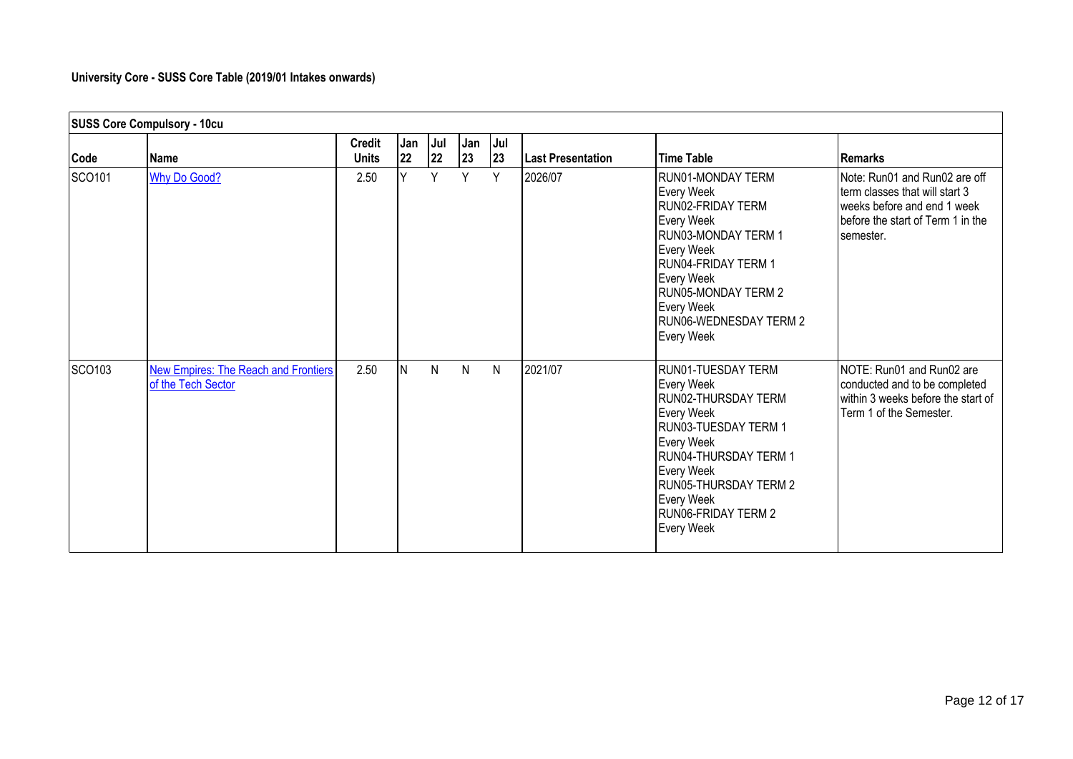# **University Core - SUSS Core Table (2019/01 Intakes onwards)**

|        | <b>SUSS Core Compulsory - 10cu</b>                                |                               |           |             |           |               |                          |                                                                                                                                                                                                                                           |                                                                                                                                                  |
|--------|-------------------------------------------------------------------|-------------------------------|-----------|-------------|-----------|---------------|--------------------------|-------------------------------------------------------------------------------------------------------------------------------------------------------------------------------------------------------------------------------------------|--------------------------------------------------------------------------------------------------------------------------------------------------|
| Code   | Name                                                              | <b>Credit</b><br><b>Units</b> | Jan<br>22 | Jul  <br>22 | Jan<br>23 | $ $ Jul<br>23 | <b>Last Presentation</b> | <b>Time Table</b>                                                                                                                                                                                                                         | <b>Remarks</b>                                                                                                                                   |
| SCO101 | <b>Why Do Good?</b>                                               | 2.50                          | Y         | $\vee$      | Y         | Y             | 2026/07                  | <b>RUN01-MONDAY TERM</b><br>Every Week<br>RUN02-FRIDAY TERM<br>Every Week<br>IRUN03-MONDAY TERM 1<br>Every Week<br><b>IRUN04-FRIDAY TERM 1</b><br>Every Week<br>RUN05-MONDAY TERM 2<br>Every Week<br>RUN06-WEDNESDAY TERM 2<br>Every Week | Note: Run01 and Run02 are off<br>term classes that will start 3<br>weeks before and end 1 week<br>before the start of Term 1 in the<br>semester. |
| SCO103 | <b>New Empires: The Reach and Frontiers</b><br>of the Tech Sector | 2.50                          | N         | N           | N         | N             | 2021/07                  | RUN01-TUESDAY TERM<br>Every Week<br>RUN02-THURSDAY TERM<br>Every Week<br>RUN03-TUESDAY TERM 1<br>Every Week<br>RUN04-THURSDAY TERM 1<br>Every Week<br>RUN05-THURSDAY TERM 2<br>Every Week<br><b>RUNO6-FRIDAY TERM 2</b><br>Every Week     | NOTE: Run01 and Run02 are<br>conducted and to be completed<br>within 3 weeks before the start of<br>Term 1 of the Semester.                      |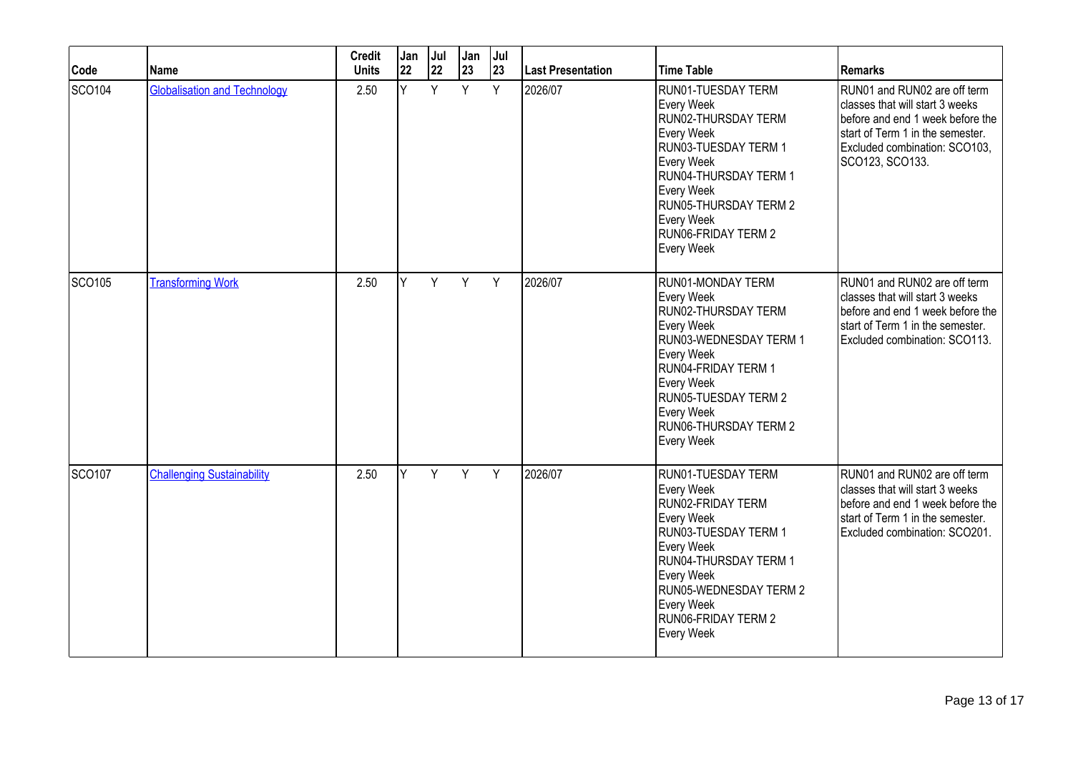| Code          | <b>Name</b>                         | <b>Credit</b><br><b>Units</b> | Jan<br>22 | Jul<br>22 | Jan<br>23 | Jul<br>23 | Last Presentation | <b>Time Table</b>                                                                                                                                                                                                                     | Remarks                                                                                                                                                                                     |
|---------------|-------------------------------------|-------------------------------|-----------|-----------|-----------|-----------|-------------------|---------------------------------------------------------------------------------------------------------------------------------------------------------------------------------------------------------------------------------------|---------------------------------------------------------------------------------------------------------------------------------------------------------------------------------------------|
| <b>SCO104</b> | <b>Globalisation and Technology</b> | 2.50                          | Y.        | Y         | Y         | Y         | 2026/07           | RUN01-TUESDAY TERM<br>Every Week<br>RUN02-THURSDAY TERM<br>Every Week<br>RUN03-TUESDAY TERM 1<br>Every Week<br>RUN04-THURSDAY TERM 1<br>Every Week<br>RUN05-THURSDAY TERM 2<br>Every Week<br>RUN06-FRIDAY TERM 2<br>Every Week        | RUN01 and RUN02 are off term<br>classes that will start 3 weeks<br>before and end 1 week before the<br>start of Term 1 in the semester.<br>Excluded combination: SCO103,<br>SCO123, SCO133. |
| SCO105        | Transforming Work                   | 2.50                          | V         | Y         | Y         | Y         | 2026/07           | RUN01-MONDAY TERM<br>Every Week<br>RUN02-THURSDAY TERM<br>Every Week<br>RUN03-WEDNESDAY TERM 1<br>Every Week<br>RUN04-FRIDAY TERM 1<br>Every Week<br><b>RUN05-TUESDAY TERM 2</b><br>Every Week<br>RUN06-THURSDAY TERM 2<br>Every Week | RUN01 and RUN02 are off term<br>classes that will start 3 weeks<br>before and end 1 week before the<br>start of Term 1 in the semester.<br>Excluded combination: SCO113.                    |
| <b>SCO107</b> | <b>Challenging Sustainability</b>   | 2.50                          | Y         | Y         | Y         | Y         | 2026/07           | RUN01-TUESDAY TERM<br>Every Week<br>RUN02-FRIDAY TERM<br>Every Week<br>RUN03-TUESDAY TERM 1<br>Every Week<br>RUN04-THURSDAY TERM 1<br>Every Week<br>RUN05-WEDNESDAY TERM 2<br>Every Week<br>RUN06-FRIDAY TERM 2<br>Every Week         | RUN01 and RUN02 are off term<br>classes that will start 3 weeks<br>before and end 1 week before the<br>start of Term 1 in the semester.<br>Excluded combination: SCO201.                    |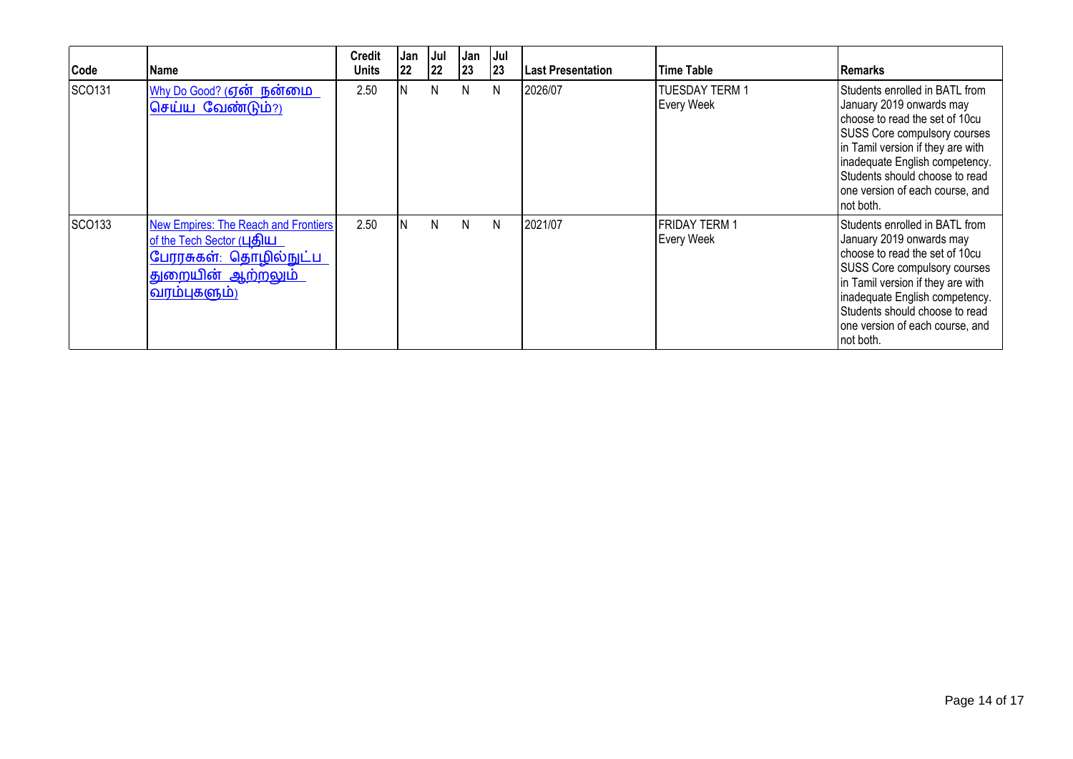| Code   | l Name                                                                                                                                   | <b>Credit</b><br><b>Units</b> | Jan<br> 22 | Jul<br>$ 22\rangle$ | Jan<br>23 | <b>Jul</b><br> 23 | <b>ILast Presentation</b> | lTime Table                        | <b>IRemarks</b>                                                                                                                                                                                                                                                                               |
|--------|------------------------------------------------------------------------------------------------------------------------------------------|-------------------------------|------------|---------------------|-----------|-------------------|---------------------------|------------------------------------|-----------------------------------------------------------------------------------------------------------------------------------------------------------------------------------------------------------------------------------------------------------------------------------------------|
| SCO131 | <u>Why Do Good? (ஏன் நன்மை</u><br>செய்ய வேண்டும்?)                                                                                       | 2.50                          |            | N                   | N.        | N                 | 2026/07                   | TUESDAY TERM 1<br>Every Week       | Students enrolled in BATL from<br>January 2019 onwards may<br>choose to read the set of 10cu<br><b>SUSS Core compulsory courses</b><br>in Tamil version if they are with<br>inadequate English competency.<br>Students should choose to read<br>one version of each course, and<br>Inot both. |
| SCO133 | <b>New Empires: The Reach and Frontiers</b><br>of the Tech Sector (புதிய<br>பேரரசுகள்: தொழில்நுட்ப<br>துறையின் ஆற்றலும்<br> வரம்புகளும்) | 2.50                          | IN.        | N                   | N.        | N                 | 2021/07                   | FRIDAY TERM 1<br><b>Every Week</b> | Students enrolled in BATL from<br>January 2019 onwards may<br>choose to read the set of 10cu<br><b>SUSS Core compulsory courses</b><br>in Tamil version if they are with<br>inadequate English competency.<br>Students should choose to read<br>one version of each course, and<br>not both.  |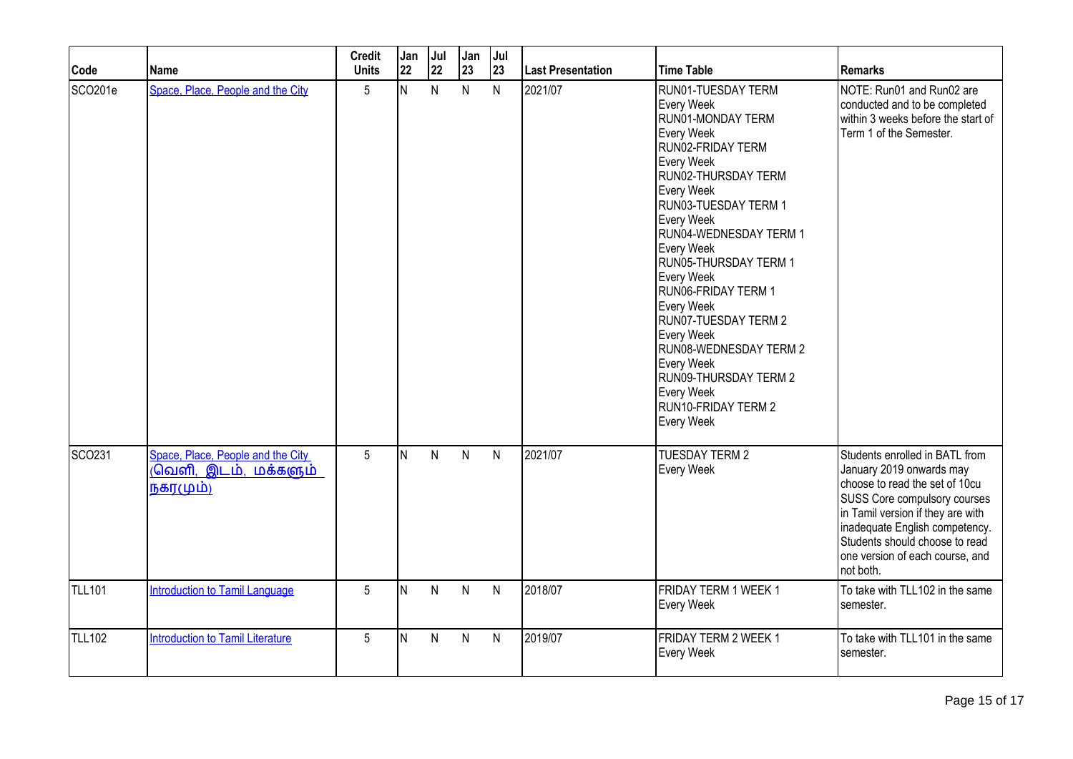| Code               | Name                                                                      | <b>Credit</b><br><b>Units</b> | Jan<br>22 | Jul<br>22 | Jan<br>23    | Jul<br>23    | <b>Last Presentation</b> | <b>Time Table</b>                                                                                                                                                                                                                                                                                                                                                                                                                                                      | <b>Remarks</b>                                                                                                                                                                                                                                                                        |
|--------------------|---------------------------------------------------------------------------|-------------------------------|-----------|-----------|--------------|--------------|--------------------------|------------------------------------------------------------------------------------------------------------------------------------------------------------------------------------------------------------------------------------------------------------------------------------------------------------------------------------------------------------------------------------------------------------------------------------------------------------------------|---------------------------------------------------------------------------------------------------------------------------------------------------------------------------------------------------------------------------------------------------------------------------------------|
| SCO201e            | Space, Place, People and the City                                         | 5                             | N.        | N.        | $\mathsf{N}$ | $\mathsf{N}$ | 2021/07                  | RUN01-TUESDAY TERM<br>Every Week<br>RUN01-MONDAY TERM<br>Every Week<br>RUN02-FRIDAY TERM<br>Every Week<br>RUN02-THURSDAY TERM<br>Every Week<br>RUN03-TUESDAY TERM 1<br>Every Week<br>RUN04-WEDNESDAY TERM 1<br>Every Week<br>RUN05-THURSDAY TERM 1<br>Every Week<br>RUN06-FRIDAY TERM 1<br>Every Week<br><b>RUN07-TUESDAY TERM 2</b><br>Every Week<br>RUN08-WEDNESDAY TERM 2<br>Every Week<br>RUN09-THURSDAY TERM 2<br>Every Week<br>RUN10-FRIDAY TERM 2<br>Every Week | NOTE: Run01 and Run02 are<br>conducted and to be completed<br>within 3 weeks before the start of<br>Term 1 of the Semester.                                                                                                                                                           |
| SCO <sub>231</sub> | Space, Place, People and the City<br>(வெளி,<br>இடம், மக்களும்<br>நகரமும்) | 5                             | N         | N.        | $\mathsf{N}$ | $\mathsf{N}$ | 2021/07                  | <b>TUESDAY TERM 2</b><br>Every Week                                                                                                                                                                                                                                                                                                                                                                                                                                    | Students enrolled in BATL from<br>January 2019 onwards may<br>choose to read the set of 10cu<br>SUSS Core compulsory courses<br>in Tamil version if they are with<br>inadequate English competency.<br>Students should choose to read<br>one version of each course, and<br>not both. |
| <b>TLL101</b>      | <b>Introduction to Tamil Language</b>                                     | 5                             | N         | N         | $\mathsf{N}$ | $\mathsf{N}$ | 2018/07                  | <b>FRIDAY TERM 1 WEEK 1</b><br>Every Week                                                                                                                                                                                                                                                                                                                                                                                                                              | To take with TLL102 in the same<br>semester.                                                                                                                                                                                                                                          |
| <b>TLL102</b>      | <b>Introduction to Tamil Literature</b>                                   | 5                             | N         | N         | N            | N            | 2019/07                  | FRIDAY TERM 2 WEEK 1<br>Every Week                                                                                                                                                                                                                                                                                                                                                                                                                                     | To take with TLL101 in the same<br>semester.                                                                                                                                                                                                                                          |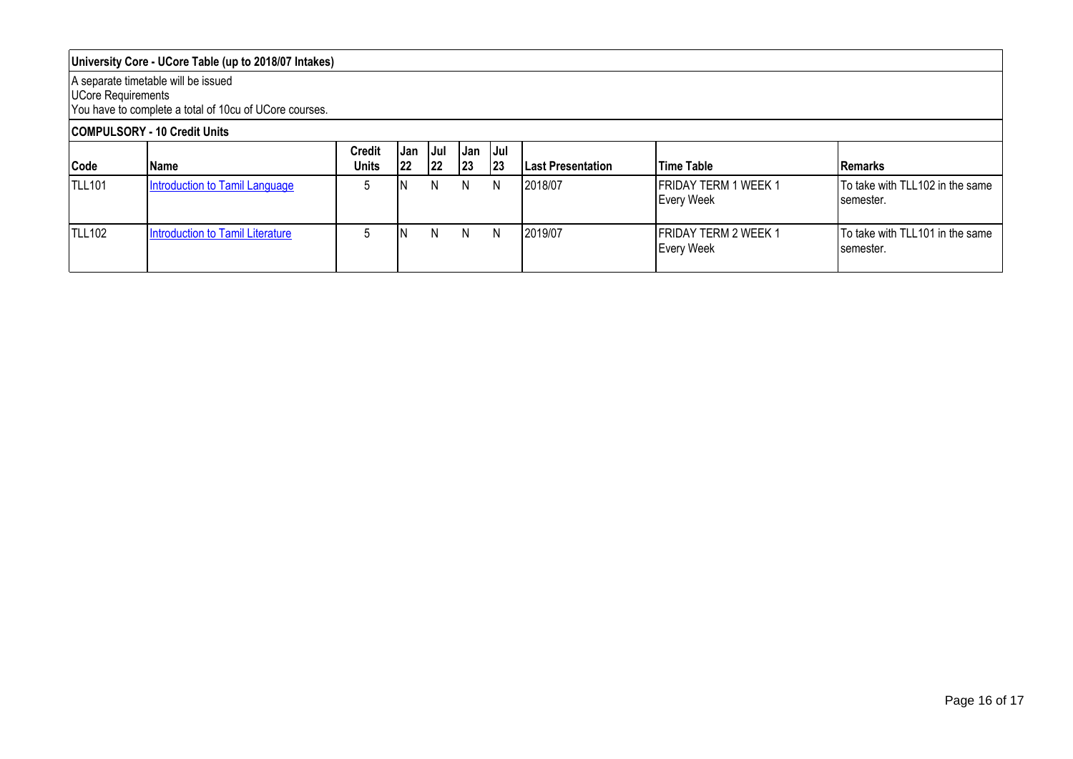### **University Core - UCore Table (up to 2018/07 Intakes)**

#### A separate timetable will be issued

UCore Requirements

You have to complete a total of 10cu of UCore courses.

# **COMPULSORY - 10 Credit Units**

| Code          | Name                             | <b>Credit</b><br><b>Units</b> | .Jan<br>122 | -IJul<br> 22 | IJan<br> 23 | IJul.<br> 23 | <b>ILast Presentation</b> | <b>Time Table</b>                         | <b>Remarks</b>                                |
|---------------|----------------------------------|-------------------------------|-------------|--------------|-------------|--------------|---------------------------|-------------------------------------------|-----------------------------------------------|
| <b>TLL101</b> | Introduction to Tamil Language   |                               |             | N            | N.          | N            | 2018/07                   | <b>FRIDAY TERM 1 WEEK 1</b><br>Every Week | To take with TLL102 in the same<br>semester.  |
| <b>TLL102</b> | Introduction to Tamil Literature |                               |             | N            | N.          | N.           | 12019/07                  | <b>FRIDAY TERM 2 WEEK 1</b><br>Every Week | To take with TLL101 in the same<br>Isemester. |